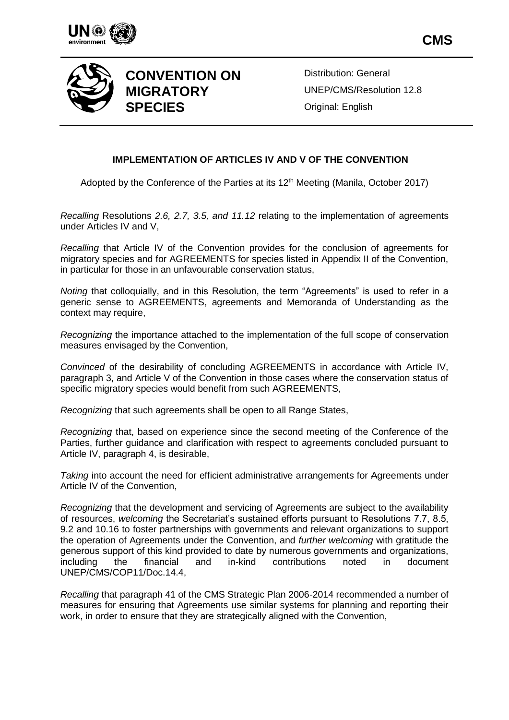



# **CONVENTION ON MIGRATORY SPECIES**

Distribution: General UNEP/CMS/Resolution 12.8 Original: English

# **IMPLEMENTATION OF ARTICLES IV AND V OF THE CONVENTION**

Adopted by the Conference of the Parties at its  $12<sup>th</sup>$  Meeting (Manila, October 2017)

*Recalling* Resolutions *2.6, 2.7, 3.5, and 11.12* relating to the implementation of agreements under Articles IV and V,

*Recalling* that Article IV of the Convention provides for the conclusion of agreements for migratory species and for AGREEMENTS for species listed in Appendix II of the Convention, in particular for those in an unfavourable conservation status,

*Noting* that colloquially, and in this Resolution, the term "Agreements" is used to refer in a generic sense to AGREEMENTS, agreements and Memoranda of Understanding as the context may require,

*Recognizing* the importance attached to the implementation of the full scope of conservation measures envisaged by the Convention,

*Convinced* of the desirability of concluding AGREEMENTS in accordance with Article IV, paragraph 3, and Article V of the Convention in those cases where the conservation status of specific migratory species would benefit from such AGREEMENTS,

*Recognizing* that such agreements shall be open to all Range States,

*Recognizing* that, based on experience since the second meeting of the Conference of the Parties, further guidance and clarification with respect to agreements concluded pursuant to Article IV, paragraph 4, is desirable,

*Taking* into account the need for efficient administrative arrangements for Agreements under Article IV of the Convention,

*Recognizing* that the development and servicing of Agreements are subject to the availability of resources, *welcoming* the Secretariat's sustained efforts pursuant to Resolutions 7.7, 8.5, 9.2 and 10.16 to foster partnerships with governments and relevant organizations to support the operation of Agreements under the Convention, and *further welcoming* with gratitude the generous support of this kind provided to date by numerous governments and organizations, including the financial and in-kind contributions noted in document UNEP/CMS/COP11/Doc.14.4,

*Recalling* that paragraph 41 of the CMS Strategic Plan 2006-2014 recommended a number of measures for ensuring that Agreements use similar systems for planning and reporting their work, in order to ensure that they are strategically aligned with the Convention,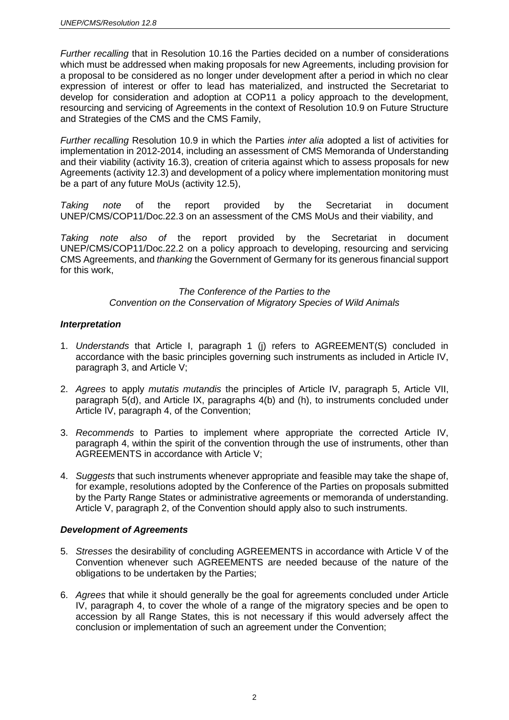*Further recalling* that in Resolution 10.16 the Parties decided on a number of considerations which must be addressed when making proposals for new Agreements, including provision for a proposal to be considered as no longer under development after a period in which no clear expression of interest or offer to lead has materialized, and instructed the Secretariat to develop for consideration and adoption at COP11 a policy approach to the development, resourcing and servicing of Agreements in the context of Resolution 10.9 on Future Structure and Strategies of the CMS and the CMS Family,

*Further recalling* Resolution 10.9 in which the Parties *inter alia* adopted a list of activities for implementation in 2012-2014, including an assessment of CMS Memoranda of Understanding and their viability (activity 16.3), creation of criteria against which to assess proposals for new Agreements (activity 12.3) and development of a policy where implementation monitoring must be a part of any future MoUs (activity 12.5),

*Taking note* of the report provided by the Secretariat in document UNEP/CMS/COP11/Doc.22.3 on an assessment of the CMS MoUs and their viability, and

*Taking note also of* the report provided by the Secretariat in document UNEP/CMS/COP11/Doc.22.2 on a policy approach to developing, resourcing and servicing CMS Agreements, and *thanking* the Government of Germany for its generous financial support for this work,

## *The Conference of the Parties to the Convention on the Conservation of Migratory Species of Wild Animals*

## *Interpretation*

- 1. *Understands* that Article I, paragraph 1 (j) refers to AGREEMENT(S) concluded in accordance with the basic principles governing such instruments as included in Article IV, paragraph 3, and Article V;
- 2. *Agrees* to apply *mutatis mutandis* the principles of Article IV, paragraph 5, Article VII, paragraph 5(d), and Article IX, paragraphs 4(b) and (h), to instruments concluded under Article IV, paragraph 4, of the Convention;
- 3. *Recommends* to Parties to implement where appropriate the corrected Article IV, paragraph 4, within the spirit of the convention through the use of instruments, other than AGREEMENTS in accordance with Article V;
- 4. *Suggests* that such instruments whenever appropriate and feasible may take the shape of, for example, resolutions adopted by the Conference of the Parties on proposals submitted by the Party Range States or administrative agreements or memoranda of understanding. Article V, paragraph 2, of the Convention should apply also to such instruments.

## *Development of Agreements*

- 5. *Stresses* the desirability of concluding AGREEMENTS in accordance with Article V of the Convention whenever such AGREEMENTS are needed because of the nature of the obligations to be undertaken by the Parties;
- 6. *Agrees* that while it should generally be the goal for agreements concluded under Article IV, paragraph 4, to cover the whole of a range of the migratory species and be open to accession by all Range States, this is not necessary if this would adversely affect the conclusion or implementation of such an agreement under the Convention;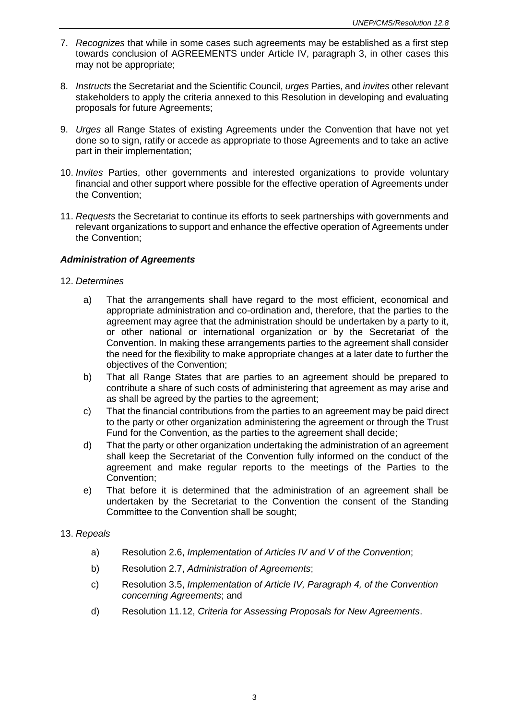- 7. *Recognizes* that while in some cases such agreements may be established as a first step towards conclusion of AGREEMENTS under Article IV, paragraph 3, in other cases this may not be appropriate;
- 8. *Instructs* the Secretariat and the Scientific Council, *urges* Parties, and *invites* other relevant stakeholders to apply the criteria annexed to this Resolution in developing and evaluating proposals for future Agreements;
- 9. *Urges* all Range States of existing Agreements under the Convention that have not yet done so to sign, ratify or accede as appropriate to those Agreements and to take an active part in their implementation;
- 10. *Invites* Parties, other governments and interested organizations to provide voluntary financial and other support where possible for the effective operation of Agreements under the Convention;
- 11. *Requests* the Secretariat to continue its efforts to seek partnerships with governments and relevant organizations to support and enhance the effective operation of Agreements under the Convention;

## *Administration of Agreements*

## 12. *Determines*

- a) That the arrangements shall have regard to the most efficient, economical and appropriate administration and co-ordination and, therefore, that the parties to the agreement may agree that the administration should be undertaken by a party to it, or other national or international organization or by the Secretariat of the Convention. In making these arrangements parties to the agreement shall consider the need for the flexibility to make appropriate changes at a later date to further the objectives of the Convention;
- b) That all Range States that are parties to an agreement should be prepared to contribute a share of such costs of administering that agreement as may arise and as shall be agreed by the parties to the agreement;
- c) That the financial contributions from the parties to an agreement may be paid direct to the party or other organization administering the agreement or through the Trust Fund for the Convention, as the parties to the agreement shall decide;
- d) That the party or other organization undertaking the administration of an agreement shall keep the Secretariat of the Convention fully informed on the conduct of the agreement and make regular reports to the meetings of the Parties to the Convention;
- e) That before it is determined that the administration of an agreement shall be undertaken by the Secretariat to the Convention the consent of the Standing Committee to the Convention shall be sought;

#### 13. *Repeals*

- a) Resolution 2.6, *Implementation of Articles IV and V of the Convention*;
- b) Resolution 2.7, *Administration of Agreements*;
- c) Resolution 3.5, *Implementation of Article IV, Paragraph 4, of the Convention concerning Agreements*; and
- d) Resolution 11.12, *Criteria for Assessing Proposals for New Agreements*.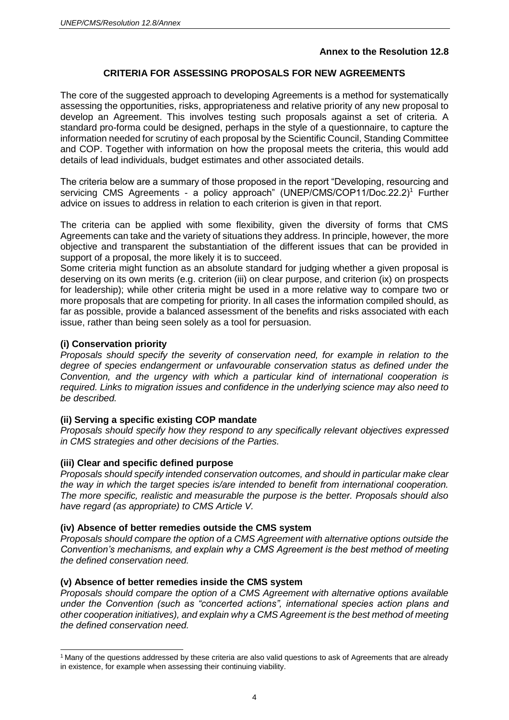# **Annex to the Resolution 12.8**

# **CRITERIA FOR ASSESSING PROPOSALS FOR NEW AGREEMENTS**

The core of the suggested approach to developing Agreements is a method for systematically assessing the opportunities, risks, appropriateness and relative priority of any new proposal to develop an Agreement. This involves testing such proposals against a set of criteria. A standard pro-forma could be designed, perhaps in the style of a questionnaire, to capture the information needed for scrutiny of each proposal by the Scientific Council, Standing Committee and COP. Together with information on how the proposal meets the criteria, this would add details of lead individuals, budget estimates and other associated details.

The criteria below are a summary of those proposed in the report "Developing, resourcing and servicing CMS Agreements - a policy approach" (UNEP/CMS/COP11/Doc.22.2)<sup>1</sup> Further advice on issues to address in relation to each criterion is given in that report.

The criteria can be applied with some flexibility, given the diversity of forms that CMS Agreements can take and the variety of situations they address. In principle, however, the more objective and transparent the substantiation of the different issues that can be provided in support of a proposal, the more likely it is to succeed.

Some criteria might function as an absolute standard for judging whether a given proposal is deserving on its own merits (e.g. criterion (iii) on clear purpose, and criterion (ix) on prospects for leadership); while other criteria might be used in a more relative way to compare two or more proposals that are competing for priority. In all cases the information compiled should, as far as possible, provide a balanced assessment of the benefits and risks associated with each issue, rather than being seen solely as a tool for persuasion.

# **(i) Conservation priority**

 $\overline{a}$ 

*Proposals should specify the severity of conservation need, for example in relation to the degree of species endangerment or unfavourable conservation status as defined under the Convention, and the urgency with which a particular kind of international cooperation is required. Links to migration issues and confidence in the underlying science may also need to be described.*

## **(ii) Serving a specific existing COP mandate**

*Proposals should specify how they respond to any specifically relevant objectives expressed in CMS strategies and other decisions of the Parties.*

## **(iii) Clear and specific defined purpose**

*Proposals should specify intended conservation outcomes, and should in particular make clear the way in which the target species is/are intended to benefit from international cooperation. The more specific, realistic and measurable the purpose is the better. Proposals should also have regard (as appropriate) to CMS Article V.*

## **(iv) Absence of better remedies outside the CMS system**

*Proposals should compare the option of a CMS Agreement with alternative options outside the Convention's mechanisms, and explain why a CMS Agreement is the best method of meeting the defined conservation need.*

## **(v) Absence of better remedies inside the CMS system**

*Proposals should compare the option of a CMS Agreement with alternative options available under the Convention (such as "concerted actions", international species action plans and other cooperation initiatives), and explain why a CMS Agreement is the best method of meeting the defined conservation need.*

<sup>1</sup> Many of the questions addressed by these criteria are also valid questions to ask of Agreements that are already in existence, for example when assessing their continuing viability.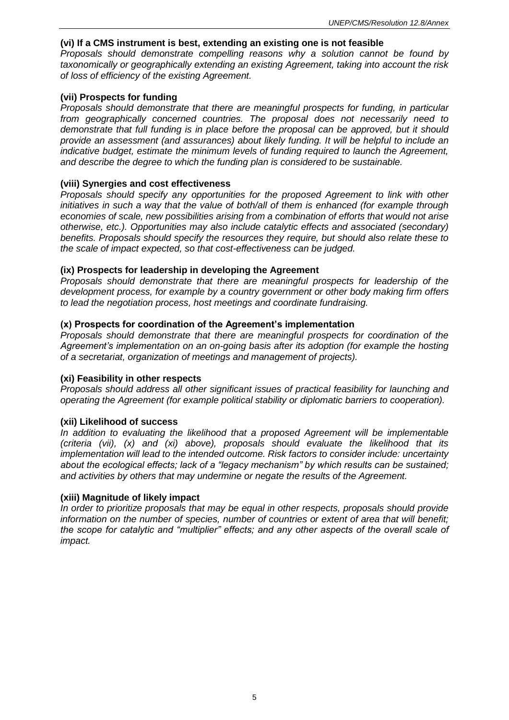#### **(vi) If a CMS instrument is best, extending an existing one is not feasible**

*Proposals should demonstrate compelling reasons why a solution cannot be found by taxonomically or geographically extending an existing Agreement, taking into account the risk of loss of efficiency of the existing Agreement.*

#### **(vii) Prospects for funding**

*Proposals should demonstrate that there are meaningful prospects for funding, in particular from geographically concerned countries. The proposal does not necessarily need to demonstrate that full funding is in place before the proposal can be approved, but it should provide an assessment (and assurances) about likely funding. It will be helpful to include an indicative budget, estimate the minimum levels of funding required to launch the Agreement, and describe the degree to which the funding plan is considered to be sustainable.*

#### **(viii) Synergies and cost effectiveness**

*Proposals should specify any opportunities for the proposed Agreement to link with other initiatives in such a way that the value of both/all of them is enhanced (for example through economies of scale, new possibilities arising from a combination of efforts that would not arise otherwise, etc.). Opportunities may also include catalytic effects and associated (secondary) benefits. Proposals should specify the resources they require, but should also relate these to the scale of impact expected, so that cost-effectiveness can be judged.*

#### **(ix) Prospects for leadership in developing the Agreement**

*Proposals should demonstrate that there are meaningful prospects for leadership of the development process, for example by a country government or other body making firm offers to lead the negotiation process, host meetings and coordinate fundraising.*

#### **(x) Prospects for coordination of the Agreement's implementation**

*Proposals should demonstrate that there are meaningful prospects for coordination of the Agreement's implementation on an on-going basis after its adoption (for example the hosting of a secretariat, organization of meetings and management of projects).*

#### **(xi) Feasibility in other respects**

*Proposals should address all other significant issues of practical feasibility for launching and operating the Agreement (for example political stability or diplomatic barriers to cooperation).*

#### **(xii) Likelihood of success**

*In addition to evaluating the likelihood that a proposed Agreement will be implementable (criteria (vii), (x) and (xi) above), proposals should evaluate the likelihood that its implementation will lead to the intended outcome. Risk factors to consider include: uncertainty about the ecological effects; lack of a "legacy mechanism" by which results can be sustained; and activities by others that may undermine or negate the results of the Agreement.*

#### **(xiii) Magnitude of likely impact**

*In order to prioritize proposals that may be equal in other respects, proposals should provide information on the number of species, number of countries or extent of area that will benefit; the scope for catalytic and "multiplier" effects; and any other aspects of the overall scale of impact.*